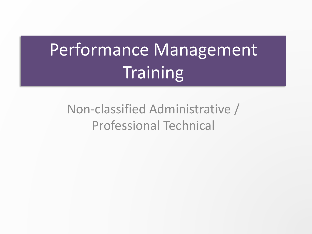# Performance Management **Training**

## Non-classified Administrative / Professional Technical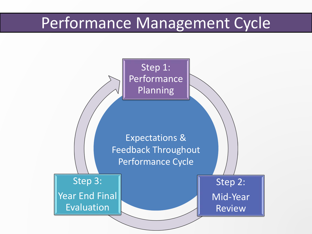## Performance Management Cycle

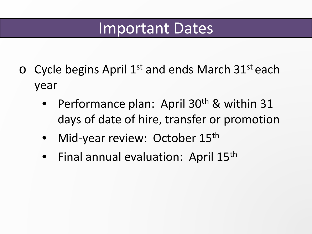## Important Dates

- $\circ$  Cycle begins April 1<sup>st</sup> and ends March 31<sup>st</sup> each year
	- Performance plan: April 30<sup>th</sup> & within 31 days of date of hire, transfer or promotion
	- Mid-year review: October 15<sup>th</sup>
	- Final annual evaluation: April 15<sup>th</sup>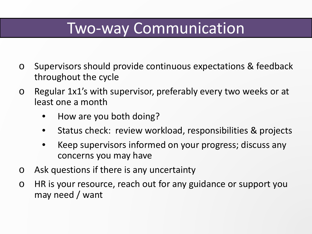## Two-way Communication

- o Supervisors should provide continuous expectations & feedback throughout the cycle
- o Regular 1x1's with supervisor, preferably every two weeks or at least one a month
	- How are you both doing?
	- Status check: review workload, responsibilities & projects
	- Keep supervisors informed on your progress; discuss any concerns you may have
- o Ask questions if there is any uncertainty
- o HR is your resource, reach out for any guidance or support you may need / want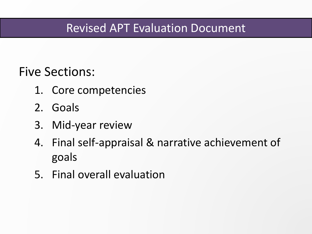### Revised APT Evaluation Document

## Five Sections:

- 1. Core competencies
- 2. Goals
- 3. Mid-year review
- 4. Final self-appraisal & narrative achievement of goals
- 5. Final overall evaluation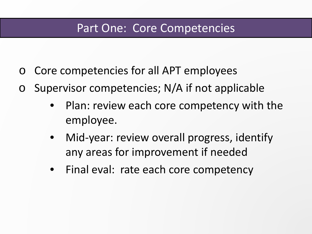### Part One: Core Competencies

- Core competencies for all APT employees
- o Supervisor competencies; N/A if not applicable
	- Plan: review each core competency with the employee.
	- Mid-year: review overall progress, identify any areas for improvement if needed
	- Final eval: rate each core competency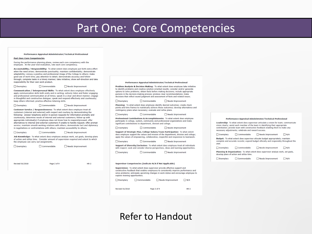### Part One: Core Competencies

#### Performance Appraisal Administrator/Technical Professional

#### **Part One: Core Competencies**

During the performance planning phase, review each core competency with the employee. At the year-end evaluation, rate each core competency.

Accountability / Responsibility: To what extent does employee put forth extra effort when the need arises; demonstrate punctuality; maintain confidentiality; demonstrate adaptability; convey a positive and professional image of the College to others; make good use of work time; pay attention to detail; demonstrate accuracy and followthrough: complete tasks in a timely manner: take initiative: show self-direction and take responsibility for their own work product.

 $\Box$  Exemplary  $\Box$  Commendable Needs Improvement

Communication / Interpersonal Skills: To what extent does employee effectively apply communication skills both orally and in-writing; actively listen and foster engaging and professional communication at all times; speak in a clear and direct manner; engage in thoughtful and constructive dialogue; speak and respond effectively and courteously; keep others informed; practice effective listening skills.

 $\Box$  Exemplary Commendable Needs Improvement

Customer Service / Responsiveness: To what extent does employee treat all customers (internal and external) with respect and courtesy by demonstrating the following: answer telephone and/or in-person requests for information promptly and courteously; determine needs of internal and external customers; follow-up with appropriate individual(s) if employee does not know how to respond/proceed; offer alternatives to internal and external customers if unable to handle request; offer prompt service; maintain smooth working relations with others; demonstrate tact and diplomacy in negotiations or confrontations with others; maintain accessibility to others.

Exemplary Commendable Needs Improvement

Job Knowledge: To what extent does employee analyze work, set goals, develop plans of action and utilize time. Consider amount of supervision required and extent to which the employee can carry out assignments.

| $\Box$ Exemplary       | Commendable | Needs Improvement |
|------------------------|-------------|-------------------|
|                        |             |                   |
|                        |             |                   |
| <b>Revised 01/2018</b> | Page 2 of 9 | $HR-2$            |

#### Performance Appraisal Administrator/Technical Professional

Problem Analysis & Decision Making: To what extent does employee take initiative to identify problems and creative solution-oriented results; consider and/or generate ontions to solve problems: obtain facts before making decisions: include appropriate persons in the decision-making process; produce clear recommendations; make decisions that reflect sound judgment and assessment of facts and related issues.

Exemplary Commendable Needs Improvement

Planning: To what extent does employee identify desired outcomes; create check points and time frames to realistically achieve those outcomes; develop alternatives and contingency plans when necessary; evaluate and refine plans.

 $\square$  Exemplary Commendable Needs Improvement

Professional Contributions & Accomplishments: To what extent does employee participate in college, system, community and professional organizations and make significant contributions to department, division and college.

Needs Improvement  $\Box$  Exemplary Commendable

Support of Strategic Plan, College Values/Team Participation: To what extent does employee support the values and mission of the department, division and college; apply the values of empowering, collaborative, respectful and responsive to teamwork.

Needs Improvement  $\Box$  Exemplary Commendable Support of Diversity/Inclusion: To what extent does employee treat all individuals

with respect; seek and consider diverse perspectives, ideas and learning opportunities.

Exemplary Commendable Needs Improvement

#### Supervisor Competencies (Indicate N/A if Not Applicable)

Supervision: To what extent does supervisor provide effective support and constructive feedback that enables employees to consistently improve performance and solve problems; anticipate upcoming changes in work duties and encourage employee to explore training opportunities.

Exemplary Commendable Needs Improvement  $\Box$  N/A **Revised 01/2018** Page 3 of 9  $HR-2$ 

#### Performance Appraisal Administrator/Technical Professional

Leadership: To what extent does supervisor articulate a vision for team; communicate vision clearly: assist each member of the team in identifying their appropriate contribution: provide team with constructive feedback enabling them to make any necessary adjustments; celebrate and reward success.

Commendable Needs Improvement  $\Box$  Exemplary  $\Box$  N/A

Budget: To what extent does supervisor allocate budget appropriately: maintain complete and accurate records; expend budget ethically and responsibly throughout the year.

Needs Improvement  $\Box N/A$  $\Box$  Exemplary □ Commendable

Planning & Organization: To what extent does supervisor analyze work, set goals, develop plans of action and utilize time

Exemplary Commendable □ Needs Improvement  $\Box$  N/A

### **Refer to Handout**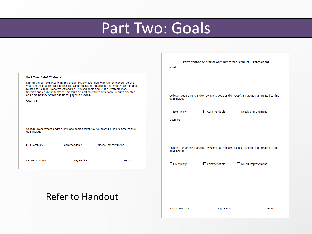# Part Two: Goals

|                                                                                                                                                                                                                                                                                                                                                                                                                                                            | Performance Appraisal Administrator/Technical Professional                                                                                                             |
|------------------------------------------------------------------------------------------------------------------------------------------------------------------------------------------------------------------------------------------------------------------------------------------------------------------------------------------------------------------------------------------------------------------------------------------------------------|------------------------------------------------------------------------------------------------------------------------------------------------------------------------|
|                                                                                                                                                                                                                                                                                                                                                                                                                                                            | Goal $#2:$                                                                                                                                                             |
| Part Two: SMART* Goals<br>During the performance planning phase, review each goal with the employee. At the<br>year-end evaluation, rate each goal. Goals should be specific to the employee's job and<br>related to College, Department and/or Divisions goals and CCD's Strategic Plan. *<br>Specific and easily understood; measurable and objective; attainable, results-oriented;<br>and time bound. Attach additional pages if needed.<br>Goal $#1:$ | College, Department and/or Divisions goals and/or CCD's Strategic Plan related to this<br>goal include:<br>$\Box$ Exemplary<br>Commendable<br>$\Box$ Needs Improvement |
|                                                                                                                                                                                                                                                                                                                                                                                                                                                            | Goal $#3:$                                                                                                                                                             |
| College, Department and/or Divisions goals and/or CCD's Strategic Plan related to this<br>goal include:<br>$\Box$ Exemplary<br>$\Box$ Commendable<br>Needs Improvement                                                                                                                                                                                                                                                                                     | College, Department and/or Divisions goals and/or CCD's Strategic Plan related to this<br>goal include:                                                                |
| Page 4 of 9<br>$HR-2$<br><b>Revised 01/2018</b>                                                                                                                                                                                                                                                                                                                                                                                                            | $\Box$ Exemplary<br>$\Box$ Commendable<br>Needs Improvement                                                                                                            |
| <b>Refer to Handout</b>                                                                                                                                                                                                                                                                                                                                                                                                                                    | <b>Revised 01/2018</b><br>Page 5 of 9<br>$HR-2$                                                                                                                        |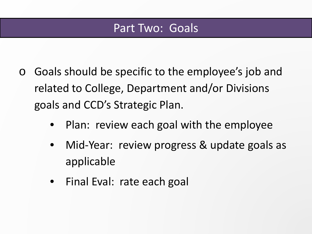### Part Two: Goals

- o Goals should be specific to the employee's job and related to College, Department and/or Divisions goals and CCD's Strategic Plan.
	- Plan: review each goal with the employee
	- Mid-Year: review progress & update goals as applicable
	- Final Eval: rate each goal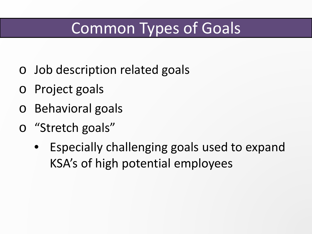# Common Types of Goals

- o Job description related goals
- **Project goals**
- o Behavioral goals
- o "Stretch goals"
	- Especially challenging goals used to expand KSA's of high potential employees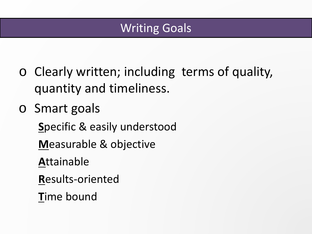### Writing Goals

- o Clearly written; including terms of quality, quantity and timeliness.
- o Smart goals

**S**pecific & easily understood

**M**easurable & objective

**A**ttainable

**R**esults-oriented

**T**ime bound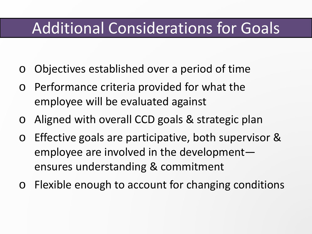## Additional Considerations for Goals

- o Objectives established over a period of time
- o Performance criteria provided for what the employee will be evaluated against
- o Aligned with overall CCD goals & strategic plan
- o Effective goals are participative, both supervisor & employee are involved in the development ensures understanding & commitment
- o Flexible enough to account for changing conditions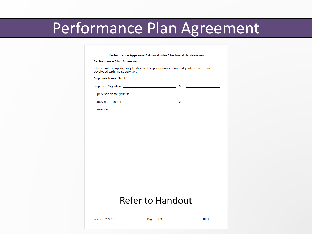## Performance Plan Agreement

### Performance Appraisal Administrator/Technical Professional

### Performance Plan Agreement:

I have had the opportunity to discuss the performance plan and goals, which I have developed with my supervisor.

Employee Name (Print):

Comments:

### **Refer to Handout**

**Revised 01/2018** 

Page 6 of 9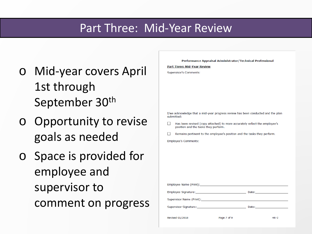### Part Three: Mid-Year Review

**Part Three: Mid-Year Review** Supervisor's Comments:

- o Mid-year covers April 1st through September 30th
- o Opportunity to revise goals as needed
- o Space is provided for employee and supervisor to comment on progress

I/we acknowledge that a mid-year progress review has been conducted and the plan submitted: Has been revised (copy attached) to more accurately reflect the employee's position and the tasks they perform. Remains pertinent to the employee's position and the tasks they perform. П **Employee's Comments:** Employee Name (Print): **Date:** Date: Employee Signature: Supervisor Name (Print): Supervisor Signature: Date: **Revised 01/2018** Page 7 of 9  $HR-2$ 

Performance Appraisal Administrator/Technical Professional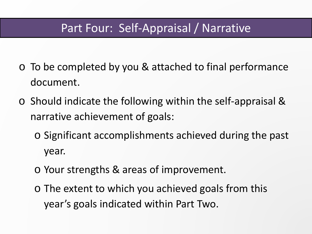### Part Four: Self-Appraisal / Narrative

- o To be completed by you & attached to final performance document.
- o Should indicate the following within the self-appraisal & narrative achievement of goals:
	- o Significant accomplishments achieved during the past year.
	- o Your strengths & areas of improvement.
	- o The extent to which you achieved goals from this year's goals indicated within Part Two.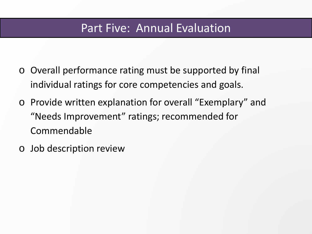### Part Five: Annual Evaluation

- o Overall performance rating must be supported by final individual ratings for core competencies and goals.
- o Provide written explanation for overall "Exemplary" and "Needs Improvement" ratings; recommended for Commendable
- o Job description review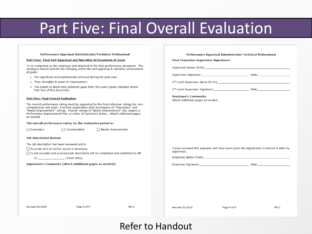## **Part Five: Final Overall Evaluation**

### Performance Appraisal Administrator/Technical Professional

#### Part Four: Final Self-Appraisal and Narrative Achievement of Goals

To be completed by the employee and attached to the final performance document. The employee should indicate the following within the self-appraisal & narrative achievement of goals:

- The significant accomplishments achieved during the past year.
- Their strengths & areas of improvement.
- The extent to which they achieved goals from this year's goals indicated within Part Two of this document.

#### **Part Five: Final Overall Evaluation**

The overall performance rating must be supported by the final individual ratings for core competencies and goals. A written explanation shall accompany all "Exemplary" and "Needs Improvement" ratings. Overall ratings of "Needs Improvement" also require a Performance Improvement Plan or Letter of Corrective Action. Attach additional pages as needed.

#### The overall performance rating for the evaluation period is:

 $\Box$  Commendable

 $\Box$  Exemplary

 $\Box$  Needs Improvement

#### **Job Description Review**

The job description has been reviewed and is:

Accurate and no further action is necessary.

□ Is not accurate and a revised job description will be completed and submitted to HR

by (insert date).

Supervisor's Comments (attach additional pages as needed):

#### Performance Appraisal Administrator/Technical Professional

#### **Final Evaluation Supervisor Signatures:**

Supervisor Name (Print):

**Employee's Comments:** Attach additional pages as needed.

I have reviewed this appraisal and have been given the opportunity to discuss it with my supervisor.

**Revised 01/2018** 

Page 8 of 9

 $HR-2$ 

**Revised 01/2018** 

Page 9 of 9

 $HR-2$ 

### Refer to Handout